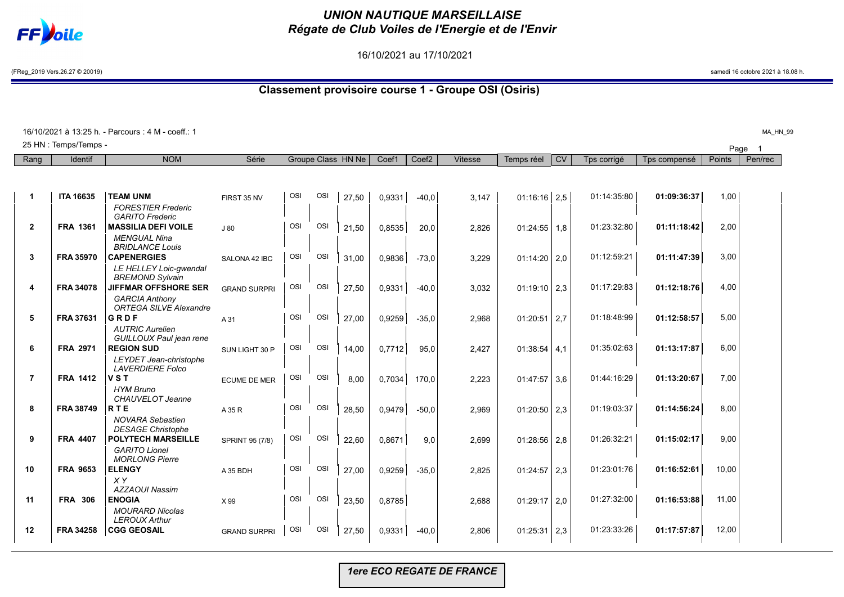

## *UNION NAUTIQUE MARSEILLAISE Régate de Club Voiles de l'Energie et de l'Envir*

16/10/2021 au 17/10/2021

(FReg\_2019 Vers.26.27 © 20019) samedi 16 octobre 2021 à 18.08 h.

## **Classement provisoire course 1 - Groupe OSI (Osiris)**

| 16/10/2021 à 13:25 h. - Parcours : 4 M - coeff.: 1<br>MA_HN_99 |                       |                                                                                |                     |            |            |                    |        |                   |                |                  |           |             |              |               |         |  |
|----------------------------------------------------------------|-----------------------|--------------------------------------------------------------------------------|---------------------|------------|------------|--------------------|--------|-------------------|----------------|------------------|-----------|-------------|--------------|---------------|---------|--|
|                                                                | 25 HN : Temps/Temps - |                                                                                |                     |            |            |                    |        |                   |                |                  |           |             |              | Page          |         |  |
| Rang                                                           | Identif               | <b>NOM</b>                                                                     | Série               |            |            | Groupe Class HN Ne | Coef1  | Coef <sub>2</sub> | <b>Vitesse</b> | Temps réel       | <b>CV</b> | Tps corrigé | Tps compensé | <b>Points</b> | Pen/rec |  |
|                                                                |                       |                                                                                |                     |            |            |                    |        |                   |                |                  |           |             |              |               |         |  |
| -1                                                             | <b>ITA 16635</b>      | <b>TEAM UNM</b><br><b>FORESTIER Frederic</b><br><b>GARITO Frederic</b>         | FIRST 35 NV         | <b>OSI</b> | OSI        | 27,50              | 0.9331 | $-40.0$           | 3,147          | $01:16:16$ 2.5   |           | 01:14:35:80 | 01:09:36:37  | 1,00          |         |  |
| $\mathbf{2}$                                                   | <b>FRA 1361</b>       | <b>MASSILIA DEFI VOILE</b><br><b>MENGUAL Nina</b><br><b>BRIDLANCE Louis</b>    | J80                 | OSI        | OSI        | 21,50              | 0,8535 | 20,0              | 2,826          | $01:24:55$   1,8 |           | 01:23:32:80 | 01:11:18:42  | 2,00          |         |  |
| 3                                                              | <b>FRA 35970</b>      | <b>CAPENERGIES</b><br>LE HELLEY Loic-gwendal                                   | SALONA 42 IBC       | OSI        | OSI        | 31.00              | 0.9836 | $-73,0$           | 3,229          | $01:14:20$ 2,0   |           | 01:12:59:21 | 01:11:47:39  | 3,00          |         |  |
| 4                                                              | <b>FRA 34078</b>      | <b>BREMOND Sylvain</b><br><b>JIFFMAR OFFSHORE SER</b><br><b>GARCIA Anthony</b> | <b>GRAND SURPRI</b> | OSI        | OSI        | 27,50              | 0,9331 | $-40,0$           | 3,032          | $01:19:10$ 2.3   |           | 01:17:29:83 | 01:12:18:76  | 4,00          |         |  |
| 5                                                              | FRA 37631             | <b>ORTEGA SILVE Alexandre</b><br>GRDF<br><b>AUTRIC Aurelien</b>                | A 31                | OSI        | <b>OSI</b> | 27,00              | 0,9259 | $-35,0$           | 2,968          | 01:20:51         | 2,7       | 01:18:48:99 | 01:12:58:57  | 5,00          |         |  |
| 6                                                              | <b>FRA 2971</b>       | GUILLOUX Paul jean rene<br><b>REGION SUD</b><br>LEYDET Jean-christophe         | SUN LIGHT 30 P      | OSI        | <b>OSI</b> | 14,00              | 0,7712 | 95,0              | 2,427          | 01:38:54         | 4.1       | 01:35:02:63 | 01:13:17:87  | 6,00          |         |  |
| $\overline{7}$                                                 | <b>FRA 1412</b>       | <b>LAVERDIERE Folco</b><br><b>VST</b><br><b>HYM Bruno</b>                      | <b>ECUME DE MER</b> | OSI        | OSI        | 8.00               | 0.7034 | 170,0             | 2,223          | $01:47:57$ 3.6   |           | 01:44:16:29 | 01:13:20:67  | 7,00          |         |  |
| 8                                                              | <b>FRA 38749</b>      | CHAUVELOT Jeanne<br><b>RTE</b><br><b>NOVARA Sebastien</b>                      | A 35 R              | OSI        | <b>OSI</b> | 28,50              | 0,9479 | $-50,0$           | 2,969          | 01:20:50         | 2,3       | 01:19:03:37 | 01:14:56:24  | 8,00          |         |  |
| 9                                                              | <b>FRA 4407</b>       | <b>DESAGE Christophe</b><br><b>POLYTECH MARSEILLE</b><br><b>GARITO Lionel</b>  | SPRINT 95 (7/8)     | OSI        | <b>OSI</b> | 22,60              | 0,8671 | 9,0               | 2,699          | $01:28:56$   2,8 |           | 01:26:32:21 | 01:15:02:17  | 9,00          |         |  |
| 10                                                             | <b>FRA 9653</b>       | <b>MORLONG Pierre</b><br><b>ELENGY</b><br>XY                                   | A 35 BDH            | OSI        | <b>OSI</b> | 27.00              | 0.9259 | $-35.0$           | 2,825          | 01:24:57         | 2.3       | 01:23:01:76 | 01:16:52:61  | 10,00         |         |  |
| 11                                                             | <b>FRA 306</b>        | <b>AZZAOUI Nassim</b><br><b>ENOGIA</b><br><b>MOURARD Nicolas</b>               | X 99                | OSI        | <b>OSI</b> | 23,50              | 0,8785 |                   | 2,688          | 01:29:17         | 2,0       | 01:27:32:00 | 01:16:53:88  | 11,00         |         |  |
| 12                                                             | <b>FRA 34258</b>      | <b>LEROUX Arthur</b><br><b>CGG GEOSAIL</b>                                     | <b>GRAND SURPRI</b> | OSI        | OSI        | 27,50              | 0,9331 | $-40,0$           | 2,806          | 01:25:31         | 2,3       | 01:23:33:26 | 01:17:57:87  | 12,00         |         |  |

*1ere ECO REGATE DE FRANCE*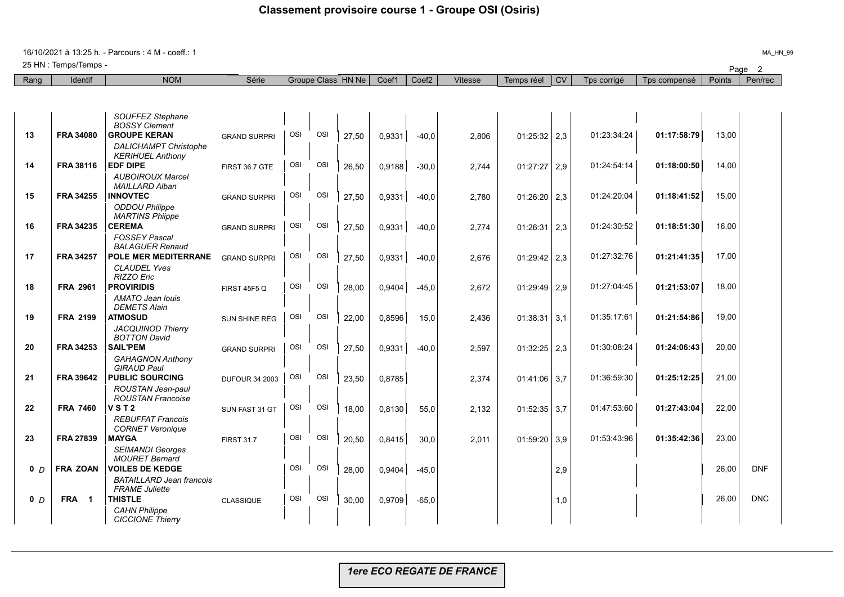16/10/2021 à 13:25 h. - Parcours : 4 M - coeff.: 1

Page <sup>2</sup> 25 HN : Temps/Temps -

| Rang           | Identif                               | <b>NOM</b>                                       | Série                 |     |     | Groupe Class HN Ne | Coef1  | Coef <sub>2</sub> | <b>Vitesse</b> | Temps réel     | <b>CV</b> | Tps corrigé | Tps compensé | Points | Pen/rec    |
|----------------|---------------------------------------|--------------------------------------------------|-----------------------|-----|-----|--------------------|--------|-------------------|----------------|----------------|-----------|-------------|--------------|--------|------------|
|                |                                       |                                                  |                       |     |     |                    |        |                   |                |                |           |             |              |        |            |
|                |                                       |                                                  |                       |     |     |                    |        |                   |                |                |           |             |              |        |            |
|                |                                       | SOUFFEZ Stephane                                 |                       |     |     |                    |        |                   |                |                |           |             |              |        |            |
| 13             | <b>FRA 34080</b>                      | <b>BOSSY Clement</b><br><b>GROUPE KERAN</b>      | <b>GRAND SURPRI</b>   | OSI | OSI | 27,50              | 0.9331 | $-40.0$           | 2.806          | $01:25:32$ 2,3 |           | 01:23:34:24 | 01:17:58:79  | 13,00  |            |
|                |                                       | <b>DALICHAMPT Christophe</b>                     |                       |     |     |                    |        |                   |                |                |           |             |              |        |            |
|                |                                       | <b>KERIHUEL Anthony</b>                          |                       |     |     |                    |        |                   |                |                |           |             |              |        |            |
| 14             | <b>FRA 38116</b>                      | <b>EDF DIPE</b>                                  | FIRST 36.7 GTE        | OSI | OSI | 26,50              | 0,9188 | $-30,0$           | 2,744          | $01:27:27$ 2,9 |           | 01:24:54:14 | 01:18:00:50  | 14,00  |            |
|                |                                       | <b>AUBOIROUX Marcel</b><br><b>MAILLARD Alban</b> |                       |     |     |                    |        |                   |                |                |           |             |              |        |            |
| 15             | <b>FRA 34255</b>                      | <b>INNOVTEC</b>                                  | <b>GRAND SURPRI</b>   | OSI | OSI | 27,50              | 0,9331 | $-40,0$           | 2,780          | $01:26:20$ 2,3 |           | 01:24:20:04 | 01:18:41:52  | 15,00  |            |
|                |                                       | <b>ODDOU Philippe</b>                            |                       |     |     |                    |        |                   |                |                |           |             |              |        |            |
| 16             | <b>FRA 34235</b>                      | <b>MARTINS Phiippe</b><br><b>CEREMA</b>          | <b>GRAND SURPRI</b>   | OSI | OSI | 27.50              | 0.9331 | $-40.0$           | 2.774          | $01:26:31$ 2.3 |           | 01:24:30:52 | 01:18:51:30  | 16,00  |            |
|                |                                       | <b>FOSSEY Pascal</b>                             |                       |     |     |                    |        |                   |                |                |           |             |              |        |            |
|                |                                       | <b>BALAGUER Renaud</b>                           |                       |     |     |                    |        |                   |                |                |           |             |              |        |            |
| 17             | <b>FRA 34257</b>                      | <b>POLE MER MEDITERRANE</b>                      | <b>GRAND SURPRI</b>   | OSI | OSI | 27,50              | 0,9331 | $-40,0$           | 2,676          | $01:29:42$ 2,3 |           | 01:27:32:76 | 01:21:41:35  | 17,00  |            |
|                |                                       | <b>CLAUDEL Yves</b><br>RIZZO Eric                |                       |     |     |                    |        |                   |                |                |           |             |              |        |            |
| 18             | <b>FRA 2961</b>                       | <b>PROVIRIDIS</b>                                | <b>FIRST 45F5 Q</b>   | OSI | OSI | 28,00              | 0,9404 | $-45,0$           | 2,672          | $01:29:49$ 2,9 |           | 01:27:04:45 | 01:21:53:07  | 18,00  |            |
|                |                                       | AMATO Jean Iouis                                 |                       |     |     |                    |        |                   |                |                |           |             |              |        |            |
|                |                                       | <b>DEMETS Alain</b>                              |                       |     |     |                    |        |                   |                |                |           |             |              |        |            |
| 19             | <b>FRA 2199</b>                       | <b>ATMOSUD</b>                                   | SUN SHINE REG         | OSI | OSI | 22,00              | 0,8596 | 15,0              | 2.436          | $01:38:31$ 3,1 |           | 01:35:17:61 | 01:21:54:86  | 19.00  |            |
|                |                                       | <b>JACQUINOD Thierry</b><br><b>BOTTON David</b>  |                       |     |     |                    |        |                   |                |                |           |             |              |        |            |
| 20             | <b>FRA 34253</b>                      | <b>SAIL'PEM</b>                                  | <b>GRAND SURPRI</b>   | OSI | OSI | 27,50              | 0,9331 | $-40,0$           | 2,597          | $01:32:25$ 2,3 |           | 01:30:08:24 | 01:24:06:43  | 20,00  |            |
|                |                                       | <b>GAHAGNON Anthony</b>                          |                       |     |     |                    |        |                   |                |                |           |             |              |        |            |
|                |                                       | <b>GIRAUD Paul</b>                               |                       |     |     |                    |        |                   |                |                |           |             |              |        |            |
| 21             | <b>FRA 39642</b>                      | <b>PUBLIC SOURCING</b>                           | <b>DUFOUR 34 2003</b> | OSI | OSI | 23,50              | 0,8785 |                   | 2,374          | $01:41:06$ 3,7 |           | 01:36:59:30 | 01:25:12:25  | 21,00  |            |
|                |                                       | ROUSTAN Jean-paul<br><b>ROUSTAN Francoise</b>    |                       |     |     |                    |        |                   |                |                |           |             |              |        |            |
| 22             | <b>FRA 7460</b>                       | <b>VST2</b>                                      | SUN FAST 31 GT        | OSI | OSI | 18.00              | 0.8130 | 55.0              | 2.132          | $01:52:35$ 3.7 |           | 01:47:53:60 | 01:27:43:04  | 22.00  |            |
|                |                                       | <b>REBUFFAT Francois</b>                         |                       |     |     |                    |        |                   |                |                |           |             |              |        |            |
|                |                                       | <b>CORNET Veronique</b>                          |                       |     |     |                    |        |                   |                |                |           |             |              |        |            |
| 23             | <b>FRA 27839</b>                      | <b>MAYGA</b>                                     | <b>FIRST 31.7</b>     | OSI | OSI | 20,50              | 0,8415 | 30,0              | 2,011          | 01:59:20       | 3,9       | 01:53:43:96 | 01:35:42:36  | 23,00  |            |
|                |                                       | <b>SEIMANDI Georges</b><br><b>MOURET Bernard</b> |                       |     |     |                    |        |                   |                |                |           |             |              |        |            |
| 0 <sub>D</sub> | <b>FRA ZOAN</b>                       | <b>VOILES DE KEDGE</b>                           |                       | OSI | OSI | 28,00              | 0,9404 | $-45,0$           |                |                | 2,9       |             |              | 26,00  | <b>DNF</b> |
|                |                                       | <b>BATAILLARD Jean francois</b>                  |                       |     |     |                    |        |                   |                |                |           |             |              |        |            |
|                |                                       | <b>FRAME Juliette</b>                            |                       | OSI | OSI |                    |        |                   |                |                |           |             |              |        |            |
| 0 <sub>D</sub> | <b>FRA</b><br>$\overline{\mathbf{1}}$ | <b>THISTLE</b>                                   | <b>CLASSIQUE</b>      |     |     | 30.00              | 0.9709 | $-65,0$           |                |                | 1,0       |             |              | 26,00  | <b>DNC</b> |
|                |                                       | <b>CAHN Philippe</b><br><b>CICCIONE Thierry</b>  |                       |     |     |                    |        |                   |                |                |           |             |              |        |            |

MA\_HN\_99

*1ere ECO REGATE DE FRANCE*